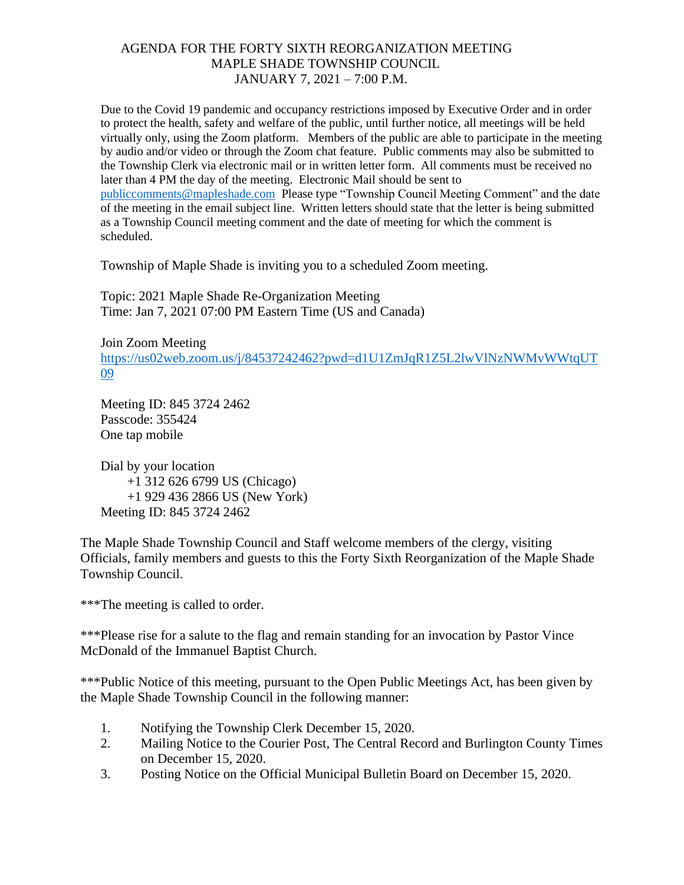Due to the Covid 19 pandemic and occupancy restrictions imposed by Executive Order and in order to protect the health, safety and welfare of the public, until further notice, all meetings will be held virtually only, using the Zoom platform. Members of the public are able to participate in the meeting by audio and/or video or through the Zoom chat feature. Public comments may also be submitted to the Township Clerk via electronic mail or in written letter form. All comments must be received no later than 4 PM the day of the meeting. Electronic Mail should be sent to [publiccomments@mapleshade.com](mailto:publiccomments@mapleshade.com) Please type "Township Council Meeting Comment" and the date of the meeting in the email subject line. Written letters should state that the letter is being submitted as a Township Council meeting comment and the date of meeting for which the comment is scheduled.

Township of Maple Shade is inviting you to a scheduled Zoom meeting.

Topic: 2021 Maple Shade Re-Organization Meeting Time: Jan 7, 2021 07:00 PM Eastern Time (US and Canada)

Join Zoom Meeting [https://us02web.zoom.us/j/84537242462?pwd=d1U1ZmJqR1Z5L2lwVlNzNWMvWWtqUT](https://us02web.zoom.us/j/84537242462?pwd=d1U1ZmJqR1Z5L2lwVlNzNWMvWWtqUT09) [09](https://us02web.zoom.us/j/84537242462?pwd=d1U1ZmJqR1Z5L2lwVlNzNWMvWWtqUT09)

Meeting ID: 845 3724 2462 Passcode: 355424 One tap mobile

Dial by your location +1 312 626 6799 US (Chicago) +1 929 436 2866 US (New York) Meeting ID: 845 3724 2462

The Maple Shade Township Council and Staff welcome members of the clergy, visiting Officials, family members and guests to this the Forty Sixth Reorganization of the Maple Shade Township Council.

\*\*\*The meeting is called to order.

\*\*\*Please rise for a salute to the flag and remain standing for an invocation by Pastor Vince McDonald of the Immanuel Baptist Church.

\*\*\*Public Notice of this meeting, pursuant to the Open Public Meetings Act, has been given by the Maple Shade Township Council in the following manner:

- 1. Notifying the Township Clerk December 15, 2020.
- 2. Mailing Notice to the Courier Post, The Central Record and Burlington County Times on December 15, 2020.
- 3. Posting Notice on the Official Municipal Bulletin Board on December 15, 2020.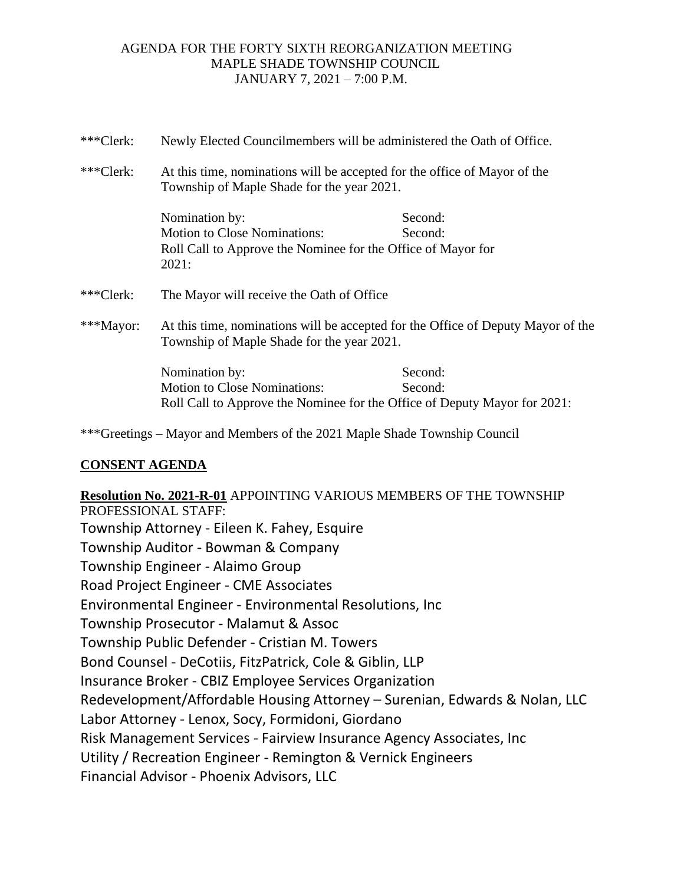| ***Clerk: | Newly Elected Councilmembers will be administered the Oath of Office.                                                              |                    |
|-----------|------------------------------------------------------------------------------------------------------------------------------------|--------------------|
| ***Clerk: | At this time, nominations will be accepted for the office of Mayor of the<br>Township of Maple Shade for the year 2021.            |                    |
|           | Nomination by:<br><b>Motion to Close Nominations:</b><br>Roll Call to Approve the Nominee for the Office of Mayor for<br>2021:     | Second:<br>Second: |
| ***Clerk: | The Mayor will receive the Oath of Office                                                                                          |                    |
| ***Mayor: | At this time, nominations will be accepted for the Office of Deputy Mayor of the<br>Township of Maple Shade for the year 2021.     |                    |
|           | Nomination by:<br><b>Motion to Close Nominations:</b><br>Roll Call to Approve the Nominee for the Office of Deputy Mayor for 2021: | Second:<br>Second: |

\*\*\*Greetings – Mayor and Members of the 2021 Maple Shade Township Council

## **CONSENT AGENDA**

**Resolution No. 2021-R-01** APPOINTING VARIOUS MEMBERS OF THE TOWNSHIP PROFESSIONAL STAFF: Township Attorney - Eileen K. Fahey, Esquire Township Auditor - Bowman & Company Township Engineer - Alaimo Group Road Project Engineer - CME Associates Environmental Engineer - Environmental Resolutions, Inc Township Prosecutor - Malamut & Assoc Township Public Defender - Cristian M. Towers Bond Counsel - DeCotiis, FitzPatrick, Cole & Giblin, LLP Insurance Broker - CBIZ Employee Services Organization Redevelopment/Affordable Housing Attorney – Surenian, Edwards & Nolan, LLC Labor Attorney - Lenox, Socy, Formidoni, Giordano Risk Management Services - Fairview Insurance Agency Associates, Inc Utility / Recreation Engineer - Remington & Vernick Engineers Financial Advisor - Phoenix Advisors, LLC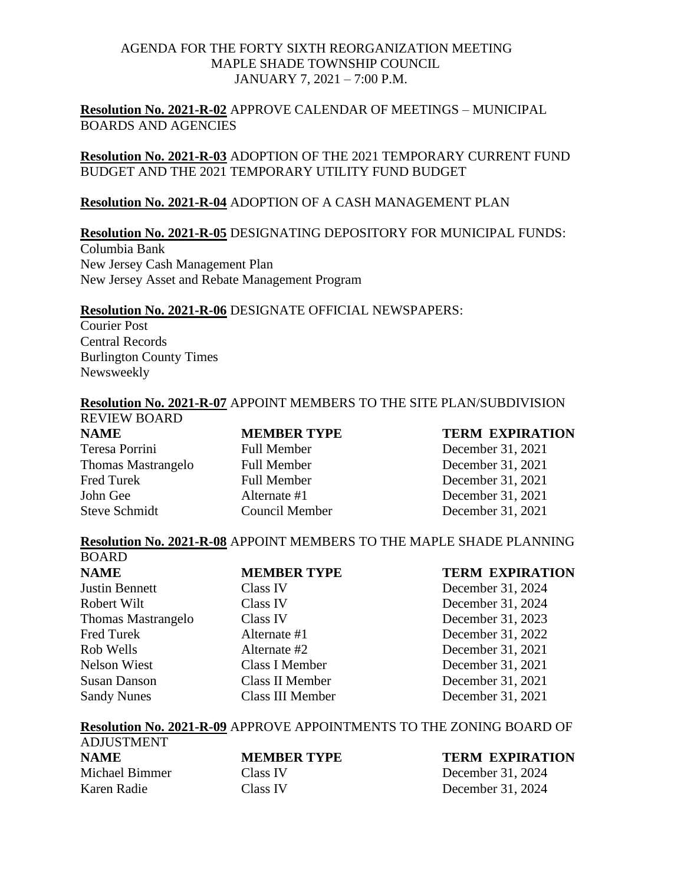**Resolution No. 2021-R-02** APPROVE CALENDAR OF MEETINGS – MUNICIPAL BOARDS AND AGENCIES

**Resolution No. 2021-R-03** ADOPTION OF THE 2021 TEMPORARY CURRENT FUND BUDGET AND THE 2021 TEMPORARY UTILITY FUND BUDGET

#### **Resolution No. 2021-R-04** ADOPTION OF A CASH MANAGEMENT PLAN

#### **Resolution No. 2021-R-05** DESIGNATING DEPOSITORY FOR MUNICIPAL FUNDS:

Columbia Bank New Jersey Cash Management Plan New Jersey Asset and Rebate Management Program

#### **Resolution No. 2021-R-06** DESIGNATE OFFICIAL NEWSPAPERS:

Courier Post Central Records Burlington County Times Newsweekly

# **Resolution No. 2021-R-07** APPOINT MEMBERS TO THE SITE PLAN/SUBDIVISION

REVIEW BOARD Teresa Porrini Full Member December 31, 2021 Thomas Mastrangelo Full Member December 31, 2021 Fred Turek Full Member December 31, 2021 John Gee Alternate #1 December 31, 2021 Steve Schmidt Council Member December 31, 2021

## **NAME MEMBER TYPE TERM EXPIRATION**

#### **Resolution No. 2021-R-08** APPOINT MEMBERS TO THE MAPLE SHADE PLANNING **BOARD**

| <u>vvinu</u>          |                    |                        |
|-----------------------|--------------------|------------------------|
| <b>NAME</b>           | <b>MEMBER TYPE</b> | <b>TERM EXPIRATION</b> |
| <b>Justin Bennett</b> | <b>Class IV</b>    | December 31, 2024      |
| Robert Wilt           | <b>Class IV</b>    | December 31, 2024      |
| Thomas Mastrangelo    | Class IV           | December 31, 2023      |
| Fred Turek            | Alternate #1       | December 31, 2022      |
| Rob Wells             | Alternate #2       | December 31, 2021      |
| Nelson Wiest          | Class I Member     | December 31, 2021      |
| <b>Susan Danson</b>   | Class II Member    | December 31, 2021      |
| <b>Sandy Nunes</b>    | Class III Member   | December 31, 2021      |

#### **Resolution No. 2021-R-09** APPROVE APPOINTMENTS TO THE ZONING BOARD OF

| <b>ADJUSTMENT</b> |                    |       |
|-------------------|--------------------|-------|
| <b>NAME</b>       | <b>MEMBER TYPE</b> | TERI  |
| Michael Bimmer    | Class IV           | Decer |
| Karen Radie       | Class IV           | Decer |

# **M EXPIRATION**

mber 31, 2024 mber 31, 2024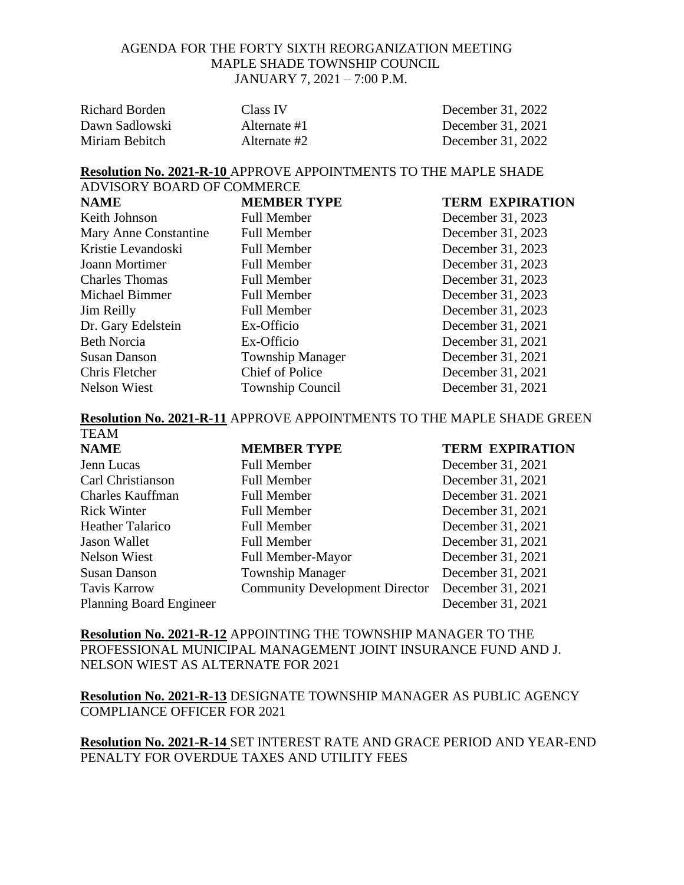| Richard Borden | Class IV     | December 31, 2022 |
|----------------|--------------|-------------------|
| Dawn Sadlowski | Alternate #1 | December 31, 2021 |
| Miriam Bebitch | Alternate #2 | December 31, 2022 |

#### **Resolution No. 2021-R-10** APPROVE APPOINTMENTS TO THE MAPLE SHADE ADVISORY BOARD OF COMMERCE

| ADVISUR I DUARD UF CUMMERCE |                         |                        |  |  |
|-----------------------------|-------------------------|------------------------|--|--|
| <b>NAME</b>                 | <b>MEMBER TYPE</b>      | <b>TERM EXPIRATION</b> |  |  |
| Keith Johnson               | <b>Full Member</b>      | December 31, 2023      |  |  |
| Mary Anne Constantine       | <b>Full Member</b>      | December 31, 2023      |  |  |
| Kristie Levandoski          | <b>Full Member</b>      | December 31, 2023      |  |  |
| Joann Mortimer              | <b>Full Member</b>      | December 31, 2023      |  |  |
| <b>Charles Thomas</b>       | <b>Full Member</b>      | December 31, 2023      |  |  |
| Michael Bimmer              | <b>Full Member</b>      | December 31, 2023      |  |  |
| Jim Reilly                  | <b>Full Member</b>      | December 31, 2023      |  |  |
| Dr. Gary Edelstein          | Ex-Officio              | December 31, 2021      |  |  |
| <b>Beth Norcia</b>          | Ex-Officio              | December 31, 2021      |  |  |
| <b>Susan Danson</b>         | <b>Township Manager</b> | December 31, 2021      |  |  |
| Chris Fletcher              | <b>Chief of Police</b>  | December 31, 2021      |  |  |
| <b>Nelson Wiest</b>         | <b>Township Council</b> | December 31, 2021      |  |  |

#### **Resolution No. 2021-R-11** APPROVE APPOINTMENTS TO THE MAPLE SHADE GREEN TEAM

| . . <i>.</i>                   |                                       |                        |
|--------------------------------|---------------------------------------|------------------------|
| <b>NAME</b>                    | <b>MEMBER TYPE</b>                    | <b>TERM EXPIRATION</b> |
| Jenn Lucas                     | <b>Full Member</b>                    | December 31, 2021      |
| Carl Christianson              | <b>Full Member</b>                    | December 31, 2021      |
| <b>Charles Kauffman</b>        | <b>Full Member</b>                    | December 31. 2021      |
| <b>Rick Winter</b>             | <b>Full Member</b>                    | December 31, 2021      |
| <b>Heather Talarico</b>        | <b>Full Member</b>                    | December 31, 2021      |
| Jason Wallet                   | <b>Full Member</b>                    | December 31, 2021      |
| Nelson Wiest                   | Full Member-Mayor                     | December 31, 2021      |
| <b>Susan Danson</b>            | <b>Township Manager</b>               | December 31, 2021      |
| <b>Tavis Karrow</b>            | <b>Community Development Director</b> | December 31, 2021      |
| <b>Planning Board Engineer</b> |                                       | December 31, 2021      |
|                                |                                       |                        |

**Resolution No. 2021-R-12** APPOINTING THE TOWNSHIP MANAGER TO THE PROFESSIONAL MUNICIPAL MANAGEMENT JOINT INSURANCE FUND AND J. NELSON WIEST AS ALTERNATE FOR 2021

**Resolution No. 2021-R-13** DESIGNATE TOWNSHIP MANAGER AS PUBLIC AGENCY COMPLIANCE OFFICER FOR 2021

**Resolution No. 2021-R-14** SET INTEREST RATE AND GRACE PERIOD AND YEAR-END PENALTY FOR OVERDUE TAXES AND UTILITY FEES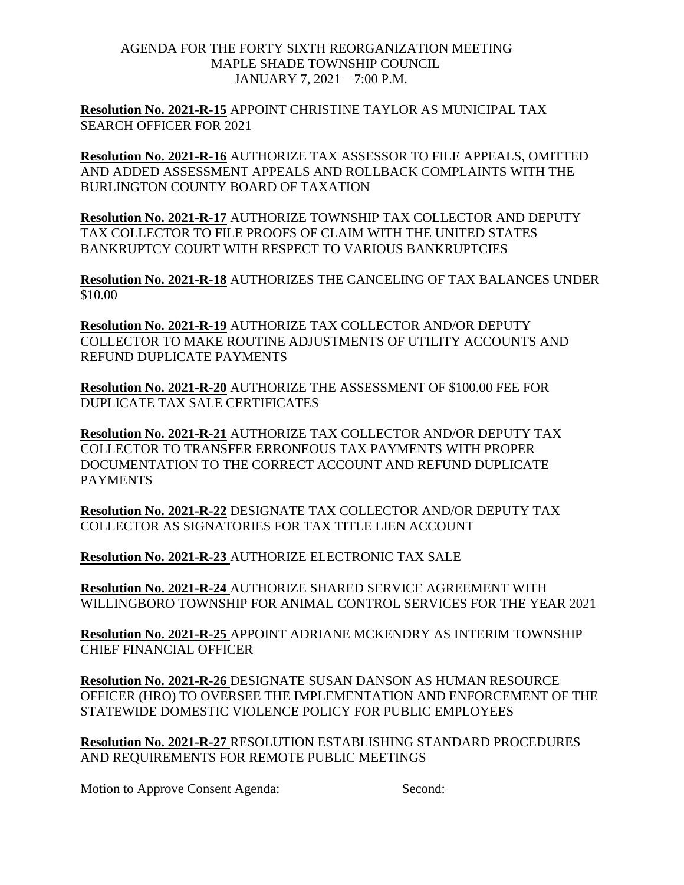**Resolution No. 2021-R-15** APPOINT CHRISTINE TAYLOR AS MUNICIPAL TAX SEARCH OFFICER FOR 2021

**Resolution No. 2021-R-16** AUTHORIZE TAX ASSESSOR TO FILE APPEALS, OMITTED AND ADDED ASSESSMENT APPEALS AND ROLLBACK COMPLAINTS WITH THE BURLINGTON COUNTY BOARD OF TAXATION

**Resolution No. 2021-R-17** AUTHORIZE TOWNSHIP TAX COLLECTOR AND DEPUTY TAX COLLECTOR TO FILE PROOFS OF CLAIM WITH THE UNITED STATES BANKRUPTCY COURT WITH RESPECT TO VARIOUS BANKRUPTCIES

**Resolution No. 2021-R-18** AUTHORIZES THE CANCELING OF TAX BALANCES UNDER \$10.00

**Resolution No. 2021-R-19** AUTHORIZE TAX COLLECTOR AND/OR DEPUTY COLLECTOR TO MAKE ROUTINE ADJUSTMENTS OF UTILITY ACCOUNTS AND REFUND DUPLICATE PAYMENTS

**Resolution No. 2021-R-20** AUTHORIZE THE ASSESSMENT OF \$100.00 FEE FOR DUPLICATE TAX SALE CERTIFICATES

**Resolution No. 2021-R-21** AUTHORIZE TAX COLLECTOR AND/OR DEPUTY TAX COLLECTOR TO TRANSFER ERRONEOUS TAX PAYMENTS WITH PROPER DOCUMENTATION TO THE CORRECT ACCOUNT AND REFUND DUPLICATE PAYMENTS

**Resolution No. 2021-R-22** DESIGNATE TAX COLLECTOR AND/OR DEPUTY TAX COLLECTOR AS SIGNATORIES FOR TAX TITLE LIEN ACCOUNT

**Resolution No. 2021-R-23** AUTHORIZE ELECTRONIC TAX SALE

**Resolution No. 2021-R-24** AUTHORIZE SHARED SERVICE AGREEMENT WITH WILLINGBORO TOWNSHIP FOR ANIMAL CONTROL SERVICES FOR THE YEAR 2021

**Resolution No. 2021-R-25** APPOINT ADRIANE MCKENDRY AS INTERIM TOWNSHIP CHIEF FINANCIAL OFFICER

**Resolution No. 2021-R-26** DESIGNATE SUSAN DANSON AS HUMAN RESOURCE OFFICER (HRO) TO OVERSEE THE IMPLEMENTATION AND ENFORCEMENT OF THE STATEWIDE DOMESTIC VIOLENCE POLICY FOR PUBLIC EMPLOYEES

**Resolution No. 2021-R-27** RESOLUTION ESTABLISHING STANDARD PROCEDURES AND REQUIREMENTS FOR REMOTE PUBLIC MEETINGS

Motion to Approve Consent Agenda: Second: Second: